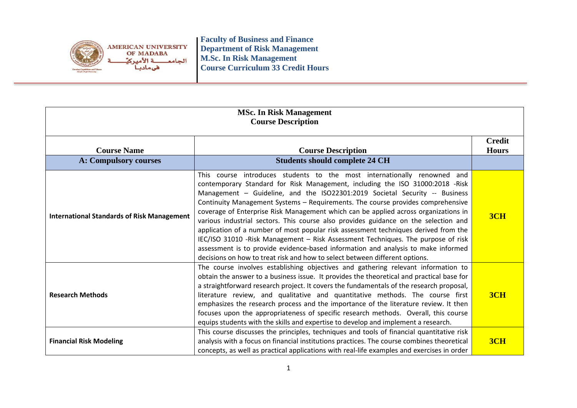

| <b>MSc. In Risk Management</b><br><b>Course Description</b> |                                                                                                                                                                                                                                                                                                                                                                                                                                                                                                                                                                                                                                                                                                                                                                                                                                                          |                               |
|-------------------------------------------------------------|----------------------------------------------------------------------------------------------------------------------------------------------------------------------------------------------------------------------------------------------------------------------------------------------------------------------------------------------------------------------------------------------------------------------------------------------------------------------------------------------------------------------------------------------------------------------------------------------------------------------------------------------------------------------------------------------------------------------------------------------------------------------------------------------------------------------------------------------------------|-------------------------------|
| <b>Course Name</b>                                          | <b>Course Description</b>                                                                                                                                                                                                                                                                                                                                                                                                                                                                                                                                                                                                                                                                                                                                                                                                                                | <b>Credit</b><br><b>Hours</b> |
| <b>A: Compulsory courses</b>                                | <b>Students should complete 24 CH</b>                                                                                                                                                                                                                                                                                                                                                                                                                                                                                                                                                                                                                                                                                                                                                                                                                    |                               |
| <b>International Standards of Risk Management</b>           | This course introduces students to the most internationally renowned and<br>contemporary Standard for Risk Management, including the ISO 31000:2018 -Risk<br>Management - Guideline, and the ISO22301:2019 Societal Security -- Business<br>Continuity Management Systems - Requirements. The course provides comprehensive<br>coverage of Enterprise Risk Management which can be applied across organizations in<br>various industrial sectors. This course also provides guidance on the selection and<br>application of a number of most popular risk assessment techniques derived from the<br>IEC/ISO 31010 -Risk Management - Risk Assessment Techniques. The purpose of risk<br>assessment is to provide evidence-based information and analysis to make informed<br>decisions on how to treat risk and how to select between different options. | 3CH                           |
| <b>Research Methods</b>                                     | The course involves establishing objectives and gathering relevant information to<br>obtain the answer to a business issue. It provides the theoretical and practical base for<br>a straightforward research project. It covers the fundamentals of the research proposal,<br>literature review, and qualitative and quantitative methods. The course first<br>emphasizes the research process and the importance of the literature review. It then<br>focuses upon the appropriateness of specific research methods. Overall, this course<br>equips students with the skills and expertise to develop and implement a research.                                                                                                                                                                                                                         | 3CH                           |
| <b>Financial Risk Modeling</b>                              | This course discusses the principles, techniques and tools of financial quantitative risk<br>analysis with a focus on financial institutions practices. The course combines theoretical<br>concepts, as well as practical applications with real-life examples and exercises in order                                                                                                                                                                                                                                                                                                                                                                                                                                                                                                                                                                    | 3CH                           |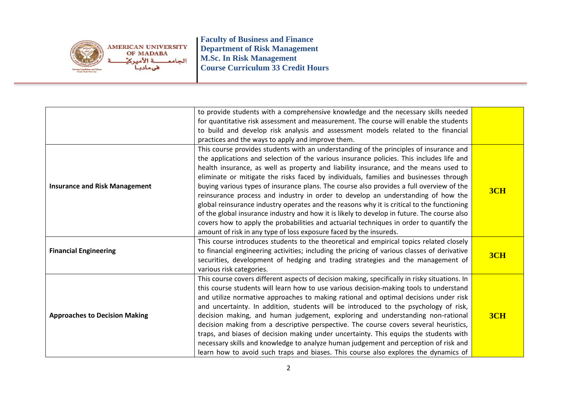

|                                      | to provide students with a comprehensive knowledge and the necessary skills needed            |     |
|--------------------------------------|-----------------------------------------------------------------------------------------------|-----|
|                                      | for quantitative risk assessment and measurement. The course will enable the students         |     |
|                                      | to build and develop risk analysis and assessment models related to the financial             |     |
|                                      | practices and the ways to apply and improve them.                                             |     |
|                                      | This course provides students with an understanding of the principles of insurance and        |     |
|                                      | the applications and selection of the various insurance policies. This includes life and      |     |
|                                      | health insurance, as well as property and liability insurance, and the means used to          |     |
|                                      | eliminate or mitigate the risks faced by individuals, families and businesses through         |     |
| <b>Insurance and Risk Management</b> | buying various types of insurance plans. The course also provides a full overview of the      |     |
|                                      | reinsurance process and industry in order to develop an understanding of how the              | 3CH |
|                                      | global reinsurance industry operates and the reasons why it is critical to the functioning    |     |
|                                      | of the global insurance industry and how it is likely to develop in future. The course also   |     |
|                                      | covers how to apply the probabilities and actuarial techniques in order to quantify the       |     |
|                                      | amount of risk in any type of loss exposure faced by the insureds.                            |     |
|                                      | This course introduces students to the theoretical and empirical topics related closely       |     |
| <b>Financial Engineering</b>         | to financial engineering activities; including the pricing of various classes of derivative   | 3CH |
|                                      | securities, development of hedging and trading strategies and the management of               |     |
|                                      | various risk categories.                                                                      |     |
|                                      | This course covers different aspects of decision making, specifically in risky situations. In |     |
| <b>Approaches to Decision Making</b> | this course students will learn how to use various decision-making tools to understand        |     |
|                                      | and utilize normative approaches to making rational and optimal decisions under risk          |     |
|                                      | and uncertainty. In addition, students will be introduced to the psychology of risk,          |     |
|                                      | decision making, and human judgement, exploring and understanding non-rational                | 3CH |
|                                      | decision making from a descriptive perspective. The course covers several heuristics,         |     |
|                                      | traps, and biases of decision making under uncertainty. This equips the students with         |     |
|                                      | necessary skills and knowledge to analyze human judgement and perception of risk and          |     |
|                                      | learn how to avoid such traps and biases. This course also explores the dynamics of           |     |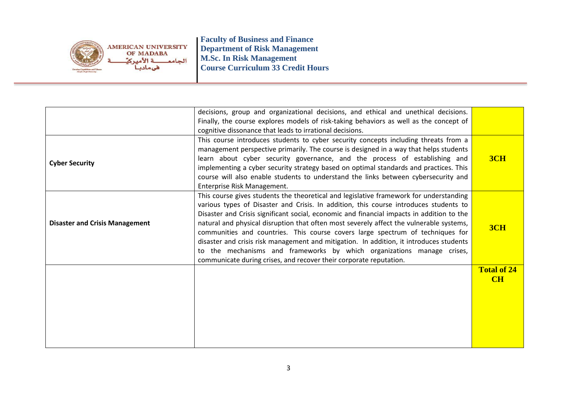

|                                       | decisions, group and organizational decisions, and ethical and unethical decisions.<br>Finally, the course explores models of risk-taking behaviors as well as the concept of                                                                                                                                                                                                                                                                                                                                                                                                                                                                                                                        |                    |
|---------------------------------------|------------------------------------------------------------------------------------------------------------------------------------------------------------------------------------------------------------------------------------------------------------------------------------------------------------------------------------------------------------------------------------------------------------------------------------------------------------------------------------------------------------------------------------------------------------------------------------------------------------------------------------------------------------------------------------------------------|--------------------|
|                                       | cognitive dissonance that leads to irrational decisions.                                                                                                                                                                                                                                                                                                                                                                                                                                                                                                                                                                                                                                             |                    |
| <b>Cyber Security</b>                 | This course introduces students to cyber security concepts including threats from a<br>management perspective primarily. The course is designed in a way that helps students<br>learn about cyber security governance, and the process of establishing and<br>implementing a cyber security strategy based on optimal standards and practices. This<br>course will also enable students to understand the links between cybersecurity and<br>Enterprise Risk Management.                                                                                                                                                                                                                             | 3CH                |
| <b>Disaster and Crisis Management</b> | This course gives students the theoretical and legislative framework for understanding<br>various types of Disaster and Crisis. In addition, this course introduces students to<br>Disaster and Crisis significant social, economic and financial impacts in addition to the<br>natural and physical disruption that often most severely affect the vulnerable systems,<br>communities and countries. This course covers large spectrum of techniques for<br>disaster and crisis risk management and mitigation. In addition, it introduces students<br>to the mechanisms and frameworks by which organizations manage crises,<br>communicate during crises, and recover their corporate reputation. | 3CH                |
|                                       |                                                                                                                                                                                                                                                                                                                                                                                                                                                                                                                                                                                                                                                                                                      | <b>Total of 24</b> |
|                                       |                                                                                                                                                                                                                                                                                                                                                                                                                                                                                                                                                                                                                                                                                                      | CH                 |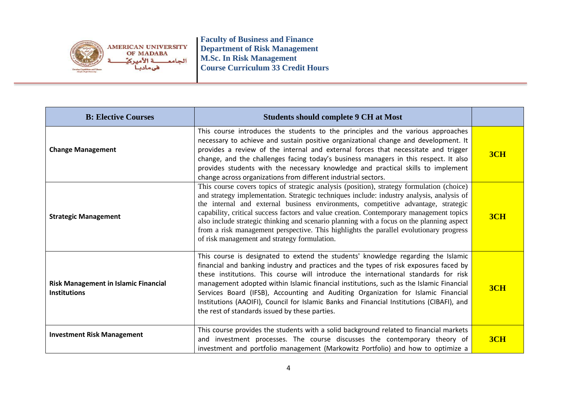

| <b>B: Elective Courses</b>                                         | <b>Students should complete 9 CH at Most</b>                                                                                                                                                                                                                                                                                                                                                                                                                                                                                                                                                                  |     |
|--------------------------------------------------------------------|---------------------------------------------------------------------------------------------------------------------------------------------------------------------------------------------------------------------------------------------------------------------------------------------------------------------------------------------------------------------------------------------------------------------------------------------------------------------------------------------------------------------------------------------------------------------------------------------------------------|-----|
| <b>Change Management</b>                                           | This course introduces the students to the principles and the various approaches<br>necessary to achieve and sustain positive organizational change and development. It<br>provides a review of the internal and external forces that necessitate and trigger<br>change, and the challenges facing today's business managers in this respect. It also<br>provides students with the necessary knowledge and practical skills to implement<br>change across organizations from different industrial sectors.                                                                                                   | 3CH |
| <b>Strategic Management</b>                                        | This course covers topics of strategic analysis (position), strategy formulation (choice)<br>and strategy implementation. Strategic techniques include: industry analysis, analysis of<br>the internal and external business environments, competitive advantage, strategic<br>capability, critical success factors and value creation. Contemporary management topics<br>also include strategic thinking and scenario planning with a focus on the planning aspect<br>from a risk management perspective. This highlights the parallel evolutionary progress<br>of risk management and strategy formulation. | 3CH |
| <b>Risk Management in Islamic Financial</b><br><b>Institutions</b> | This course is designated to extend the students' knowledge regarding the Islamic<br>financial and banking industry and practices and the types of risk exposures faced by<br>these institutions. This course will introduce the international standards for risk<br>management adopted within Islamic financial institutions, such as the Islamic Financial<br>Services Board (IFSB), Accounting and Auditing Organization for Islamic Financial<br>Institutions (AAOIFI), Council for Islamic Banks and Financial Institutions (CIBAFI), and<br>the rest of standards issued by these parties.              | 3CH |
| <b>Investment Risk Management</b>                                  | This course provides the students with a solid background related to financial markets<br>and investment processes. The course discusses the contemporary theory of<br>investment and portfolio management (Markowitz Portfolio) and how to optimize a                                                                                                                                                                                                                                                                                                                                                        | 3CH |